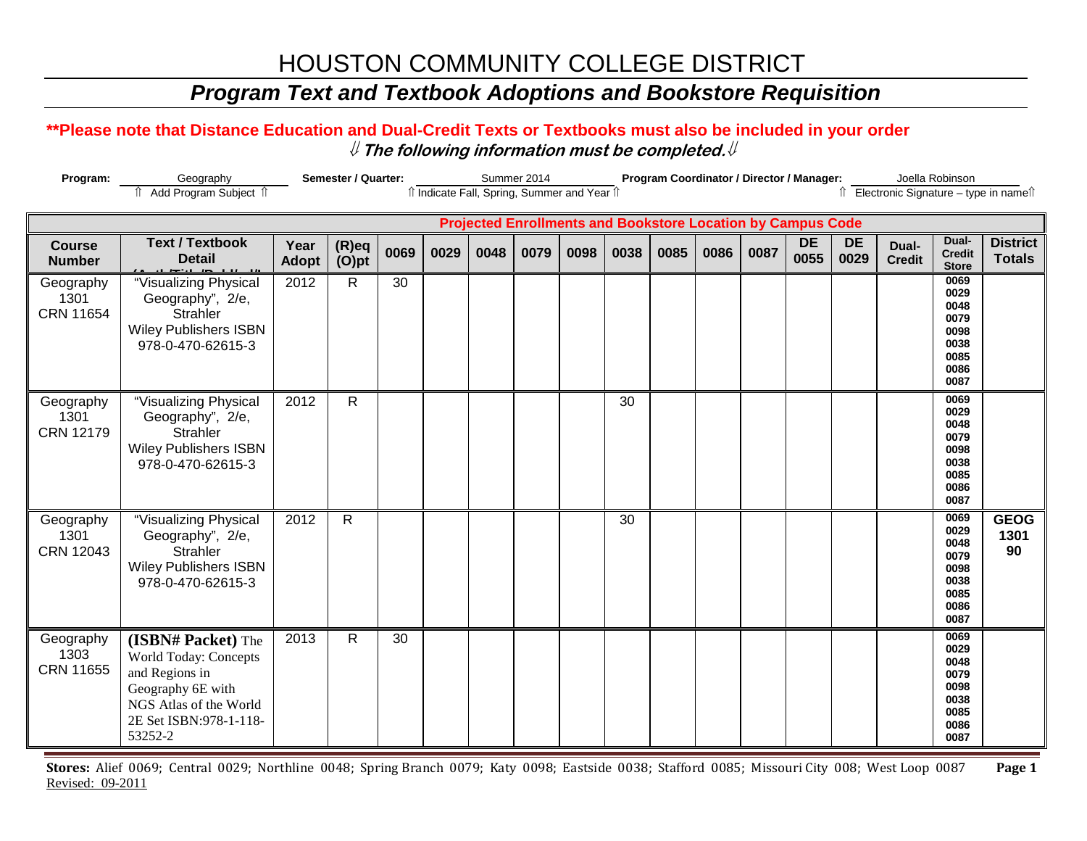# HOUSTON COMMUNITY COLLEGE DISTRICT

### *Program Text and Textbook Adoptions and Bookstore Requisition*

#### **\*\*Please note that Distance Education and Dual-Credit Texts or Textbooks must also be included in your order** ⇓ **The following information must be completed.**⇓

| Program:                                                                                                       | Geography                                                                                                                                                | Semester / Quarter:  |                      |      |      | Summer 2014 |      |      |      | Program Coordinator / Director / Manager: |      |      |                   |                   |                        | Joella Robinson                                                      |                                  |  |
|----------------------------------------------------------------------------------------------------------------|----------------------------------------------------------------------------------------------------------------------------------------------------------|----------------------|----------------------|------|------|-------------|------|------|------|-------------------------------------------|------|------|-------------------|-------------------|------------------------|----------------------------------------------------------------------|----------------------------------|--|
| Add Program Subject 1<br>↑ Electronic Signature - type in name<br>îl Indicate Fall, Spring, Summer and Year îl |                                                                                                                                                          |                      |                      |      |      |             |      |      |      |                                           |      |      |                   |                   |                        |                                                                      |                                  |  |
| <b>Projected Enrollments and Bookstore Location by Campus Code</b>                                             |                                                                                                                                                          |                      |                      |      |      |             |      |      |      |                                           |      |      |                   |                   |                        |                                                                      |                                  |  |
| <b>Course</b><br><b>Number</b>                                                                                 | <b>Text / Textbook</b><br><b>Detail</b>                                                                                                                  | Year<br><b>Adopt</b> | $(R)$ eq<br>$(O)$ pt | 0069 | 0029 | 0048        | 0079 | 0098 | 0038 | 0085                                      | 0086 | 0087 | <b>DE</b><br>0055 | <b>DE</b><br>0029 | Dual-<br><b>Credit</b> | Dual-<br><b>Credit</b><br><b>Store</b>                               | <b>District</b><br><b>Totals</b> |  |
| Geography<br>1301<br><b>CRN 11654</b>                                                                          | "Visualizing Physical<br>Geography", 2/e,<br>Strahler<br><b>Wiley Publishers ISBN</b><br>978-0-470-62615-3                                               | 2012                 | $\mathsf{R}$         | 30   |      |             |      |      |      |                                           |      |      |                   |                   |                        | 0069<br>0029<br>0048<br>0079<br>0098<br>0038<br>0085<br>0086<br>0087 |                                  |  |
| Geography<br>1301<br><b>CRN 12179</b>                                                                          | "Visualizing Physical<br>Geography", 2/e,<br><b>Strahler</b><br><b>Wiley Publishers ISBN</b><br>978-0-470-62615-3                                        | 2012                 | $\overline{R}$       |      |      |             |      |      | 30   |                                           |      |      |                   |                   |                        | 0069<br>0029<br>0048<br>0079<br>0098<br>0038<br>0085<br>0086<br>0087 |                                  |  |
| Geography<br>1301<br><b>CRN 12043</b>                                                                          | "Visualizing Physical<br>Geography", 2/e,<br>Strahler<br><b>Wiley Publishers ISBN</b><br>978-0-470-62615-3                                               | 2012                 | $\mathsf{R}$         |      |      |             |      |      | 30   |                                           |      |      |                   |                   |                        | 0069<br>0029<br>0048<br>0079<br>0098<br>0038<br>0085<br>0086<br>0087 | <b>GEOG</b><br>1301<br>90        |  |
| Geography<br>1303<br><b>CRN 11655</b>                                                                          | (ISBN# Packet) The<br><b>World Today: Concepts</b><br>and Regions in<br>Geography 6E with<br>NGS Atlas of the World<br>2E Set ISBN:978-1-118-<br>53252-2 | 2013                 | $\mathsf{R}$         | 30   |      |             |      |      |      |                                           |      |      |                   |                   |                        | 0069<br>0029<br>0048<br>0079<br>0098<br>0038<br>0085<br>0086<br>0087 |                                  |  |

**Stores:** Alief 0069; Central 0029; Northline 0048; Spring Branch 0079; Katy 0098; Eastside 0038; Stafford 0085; Missouri City 008; West Loop 0087 **Page 1** Revised: 09-2011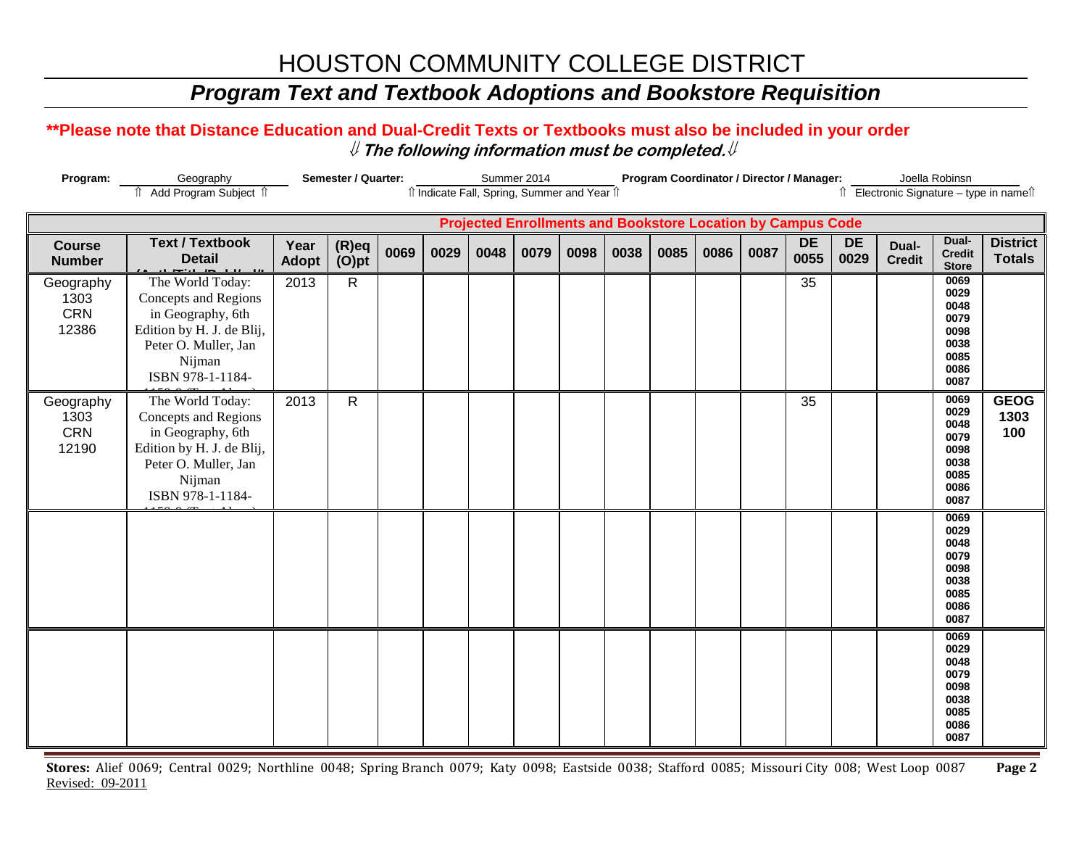# HOUSTON COMMUNITY COLLEGE DISTRICT

### *Program Text and Textbook Adoptions and Bookstore Requisition*

#### **\*\*Please note that Distance Education and Dual-Credit Texts or Textbooks must also be included in your order** ⇓ **The following information must be completed.**⇓

| Program:                                                              | Semester / Quarter:<br>Geography                                                                                                                 |                      |                |      |      |      | Summer 2014 |      | Program Coordinator / Director / Manager: |      |      |      |                   |                                       | Joella Robinsn         |                                                                      |                                  |
|-----------------------------------------------------------------------|--------------------------------------------------------------------------------------------------------------------------------------------------|----------------------|----------------|------|------|------|-------------|------|-------------------------------------------|------|------|------|-------------------|---------------------------------------|------------------------|----------------------------------------------------------------------|----------------------------------|
| Il Indicate Fall, Spring, Summer and Year Il<br>Add Program Subject 1 |                                                                                                                                                  |                      |                |      |      |      |             |      |                                           |      |      |      |                   | ↑ Electronic Signature - type in name |                        |                                                                      |                                  |
|                                                                       | <b>Projected Enrollments and Bookstore Location by Campus Code</b>                                                                               |                      |                |      |      |      |             |      |                                           |      |      |      |                   |                                       |                        |                                                                      |                                  |
| <b>Course</b><br><b>Number</b>                                        | <b>Text / Textbook</b><br><b>Detail</b>                                                                                                          | Year<br><b>Adopt</b> | (R)eq<br>(O)pt | 0069 | 0029 | 0048 | 0079        | 0098 | 0038                                      | 0085 | 0086 | 0087 | <b>DE</b><br>0055 | <b>DE</b><br>0029                     | Dual-<br><b>Credit</b> | Dual-<br><b>Credit</b><br><b>Store</b>                               | <b>District</b><br><b>Totals</b> |
| Geography<br>1303<br>CRN<br>12386                                     | The World Today:<br>Concepts and Regions<br>in Geography, 6th<br>Edition by H. J. de Blij,<br>Peter O. Muller, Jan<br>Nijman<br>ISBN 978-1-1184- | 2013                 | $\mathsf{R}$   |      |      |      |             |      |                                           |      |      |      | 35                |                                       |                        | 0069<br>0029<br>0048<br>0079<br>0098<br>0038<br>0085<br>0086<br>0087 |                                  |
| Geography<br>1303<br>CRN<br>12190                                     | The World Today:<br>Concepts and Regions<br>in Geography, 6th<br>Edition by H. J. de Blij,<br>Peter O. Muller, Jan<br>Nijman<br>ISBN 978-1-1184- | 2013                 | $\mathsf{R}$   |      |      |      |             |      |                                           |      |      |      | 35                |                                       |                        | 0069<br>0029<br>0048<br>0079<br>0098<br>0038<br>0085<br>0086<br>0087 | <b>GEOG</b><br>1303<br>100       |
|                                                                       |                                                                                                                                                  |                      |                |      |      |      |             |      |                                           |      |      |      |                   |                                       |                        | 0069<br>0029<br>0048<br>0079<br>0098<br>0038<br>0085<br>0086<br>0087 |                                  |
|                                                                       |                                                                                                                                                  |                      |                |      |      |      |             |      |                                           |      |      |      |                   |                                       |                        | 0069<br>0029<br>0048<br>0079<br>0098<br>0038<br>0085<br>0086<br>0087 |                                  |

**Stores:** Alief 0069; Central 0029; Northline 0048; Spring Branch 0079; Katy 0098; Eastside 0038; Stafford 0085; Missouri City 008; West Loop 0087 **Page 2** Revised: 09-2011